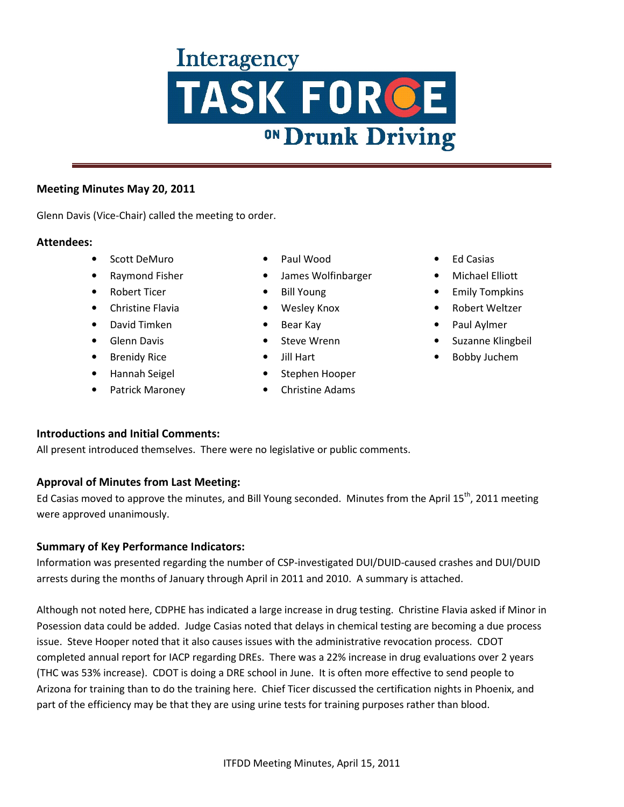#### **Meeting Minutes May 20, 2011**

Glenn Davis (Vice-Chair) called the meeting to order.

#### **Attendees:**

- Scott DeMuro
- Raymond Fisher
- Robert Ticer
- Christine Flavia
- David Timken
- Glenn Davis
- Brenidy Rice
- Hannah Seigel
- Patrick Maroney
- Paul Wood
- James Wolfinbarger
- Bill Young
- Wesley Knox
- Bear Kay
- Steve Wrenn
- Jill Hart
- Stephen Hooper
- Christine Adams
- Ed Casias
- Michael Elliott
- Emily Tompkins
- Robert Weltzer
- Paul Aylmer
- Suzanne Klingbeil
- Bobby Juchem

## **Introductions and Initial Comments:**

All present introduced themselves. There were no legislative or public comments.

#### **Approval of Minutes from Last Meeting:**

Ed Casias moved to approve the minutes, and Bill Young seconded. Minutes from the April  $15^{th}$ , 2011 meeting were approved unanimously.

## **Summary of Key Performance Indicators:**

Information was presented regarding the number of CSP-investigated DUI/DUID-caused crashes and DUI/DUID arrests during the months of January through April in 2011 and 2010. A summary is attached.

Although not noted here, CDPHE has indicated a large increase in drug testing. Christine Flavia asked if Minor in Posession data could be added. Judge Casias noted that delays in chemical testing are becoming a due process issue. Steve Hooper noted that it also causes issues with the administrative revocation process. CDOT completed annual report for IACP regarding DREs. There was a 22% increase in drug evaluations over 2 years (THC was 53% increase). CDOT is doing a DRE school in June. It is often more effective to send people to Arizona for training than to do the training here. Chief Ticer discussed the certification nights in Phoenix, and part of the efficiency may be that they are using urine tests for training purposes rather than blood.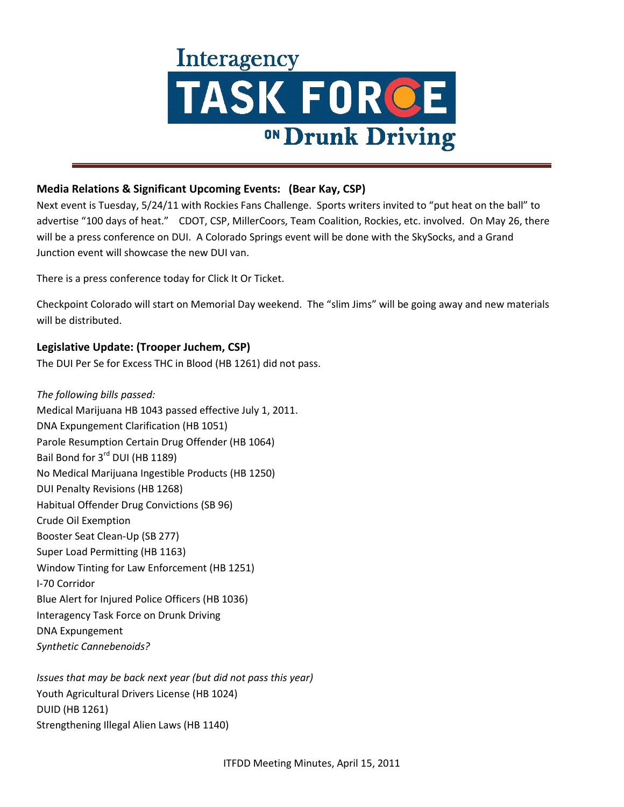

### **Media Relations & Significant Upcoming Events: (Bear Kay, CSP)**

Next event is Tuesday, 5/24/11 with Rockies Fans Challenge. Sports writers invited to "put heat on the ball" to advertise "100 days of heat." CDOT, CSP, MillerCoors, Team Coalition, Rockies, etc. involved. On May 26, there will be a press conference on DUI. A Colorado Springs event will be done with the SkySocks, and a Grand Junction event will showcase the new DUI van.

There is a press conference today for Click It Or Ticket.

Checkpoint Colorado will start on Memorial Day weekend. The "slim Jims" will be going away and new materials will be distributed.

### **Legislative Update: (Trooper Juchem, CSP)**

The DUI Per Se for Excess THC in Blood (HB 1261) did not pass.

*The following bills passed:*  Medical Marijuana HB 1043 passed effective July 1, 2011. DNA Expungement Clarification (HB 1051) Parole Resumption Certain Drug Offender (HB 1064) Bail Bond for 3<sup>rd</sup> DUI (HB 1189) No Medical Marijuana Ingestible Products (HB 1250) DUI Penalty Revisions (HB 1268) Habitual Offender Drug Convictions (SB 96) Crude Oil Exemption Booster Seat Clean-Up (SB 277) Super Load Permitting (HB 1163) Window Tinting for Law Enforcement (HB 1251) I-70 Corridor Blue Alert for Injured Police Officers (HB 1036) Interagency Task Force on Drunk Driving DNA Expungement *Synthetic Cannebenoids?* 

*Issues that may be back next year (but did not pass this year)*  Youth Agricultural Drivers License (HB 1024) DUID (HB 1261) Strengthening Illegal Alien Laws (HB 1140)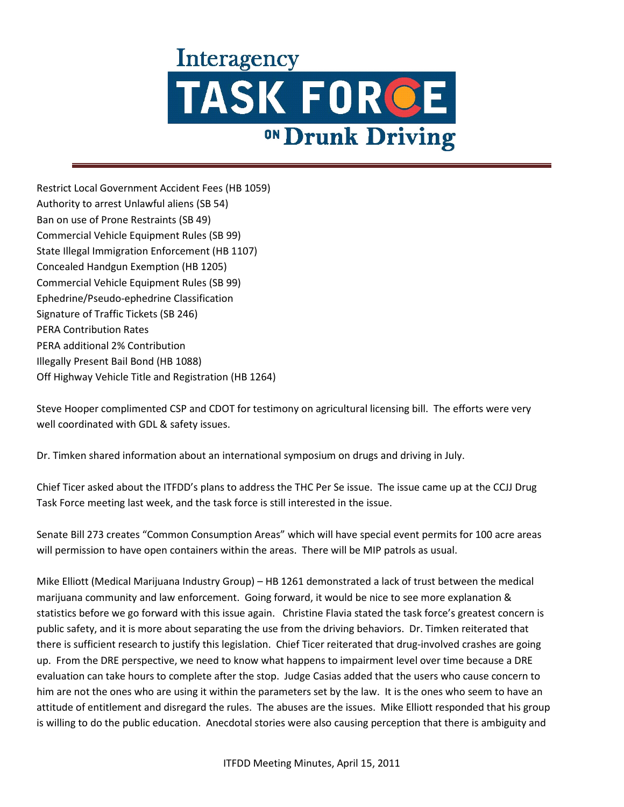Restrict Local Government Accident Fees (HB 1059) Authority to arrest Unlawful aliens (SB 54) Ban on use of Prone Restraints (SB 49) Commercial Vehicle Equipment Rules (SB 99) State Illegal Immigration Enforcement (HB 1107) Concealed Handgun Exemption (HB 1205) Commercial Vehicle Equipment Rules (SB 99) Ephedrine/Pseudo-ephedrine Classification Signature of Traffic Tickets (SB 246) PERA Contribution Rates PERA additional 2% Contribution Illegally Present Bail Bond (HB 1088) Off Highway Vehicle Title and Registration (HB 1264)

Steve Hooper complimented CSP and CDOT for testimony on agricultural licensing bill. The efforts were very well coordinated with GDL & safety issues.

Dr. Timken shared information about an international symposium on drugs and driving in July.

Chief Ticer asked about the ITFDD's plans to address the THC Per Se issue. The issue came up at the CCJJ Drug Task Force meeting last week, and the task force is still interested in the issue.

Senate Bill 273 creates "Common Consumption Areas" which will have special event permits for 100 acre areas will permission to have open containers within the areas. There will be MIP patrols as usual.

Mike Elliott (Medical Marijuana Industry Group) – HB 1261 demonstrated a lack of trust between the medical marijuana community and law enforcement. Going forward, it would be nice to see more explanation & statistics before we go forward with this issue again. Christine Flavia stated the task force's greatest concern is public safety, and it is more about separating the use from the driving behaviors. Dr. Timken reiterated that there is sufficient research to justify this legislation. Chief Ticer reiterated that drug-involved crashes are going up. From the DRE perspective, we need to know what happens to impairment level over time because a DRE evaluation can take hours to complete after the stop. Judge Casias added that the users who cause concern to him are not the ones who are using it within the parameters set by the law. It is the ones who seem to have an attitude of entitlement and disregard the rules. The abuses are the issues. Mike Elliott responded that his group is willing to do the public education. Anecdotal stories were also causing perception that there is ambiguity and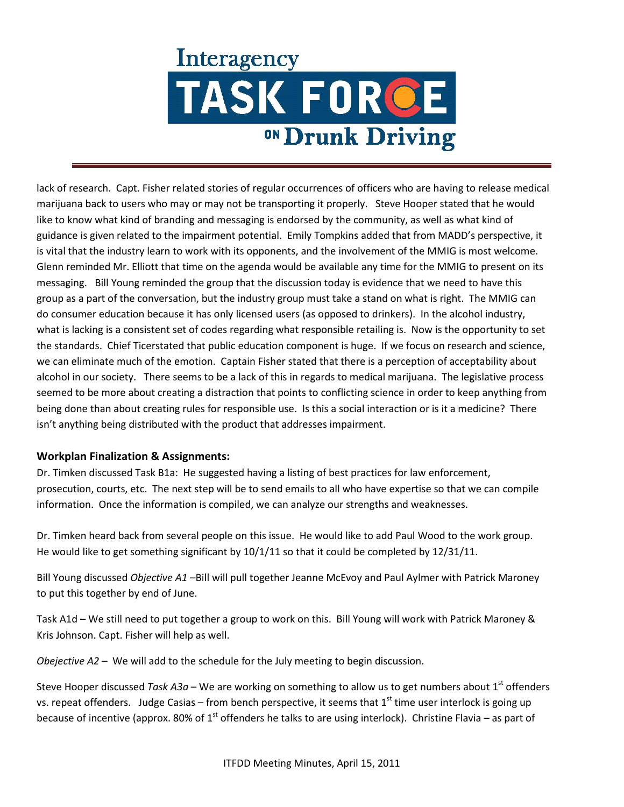lack of research. Capt. Fisher related stories of regular occurrences of officers who are having to release medical marijuana back to users who may or may not be transporting it properly. Steve Hooper stated that he would like to know what kind of branding and messaging is endorsed by the community, as well as what kind of guidance is given related to the impairment potential. Emily Tompkins added that from MADD's perspective, it is vital that the industry learn to work with its opponents, and the involvement of the MMIG is most welcome. Glenn reminded Mr. Elliott that time on the agenda would be available any time for the MMIG to present on its messaging. Bill Young reminded the group that the discussion today is evidence that we need to have this group as a part of the conversation, but the industry group must take a stand on what is right. The MMIG can do consumer education because it has only licensed users (as opposed to drinkers). In the alcohol industry, what is lacking is a consistent set of codes regarding what responsible retailing is. Now is the opportunity to set the standards. Chief Ticerstated that public education component is huge. If we focus on research and science, we can eliminate much of the emotion. Captain Fisher stated that there is a perception of acceptability about alcohol in our society. There seems to be a lack of this in regards to medical marijuana. The legislative process seemed to be more about creating a distraction that points to conflicting science in order to keep anything from being done than about creating rules for responsible use. Is this a social interaction or is it a medicine? There isn't anything being distributed with the product that addresses impairment.

## **Workplan Finalization & Assignments:**

Dr. Timken discussed Task B1a: He suggested having a listing of best practices for law enforcement, prosecution, courts, etc. The next step will be to send emails to all who have expertise so that we can compile information. Once the information is compiled, we can analyze our strengths and weaknesses.

Dr. Timken heard back from several people on this issue. He would like to add Paul Wood to the work group. He would like to get something significant by 10/1/11 so that it could be completed by 12/31/11.

Bill Young discussed *Objective A1* –Bill will pull together Jeanne McEvoy and Paul Aylmer with Patrick Maroney to put this together by end of June.

Task A1d – We still need to put together a group to work on this. Bill Young will work with Patrick Maroney & Kris Johnson. Capt. Fisher will help as well.

*Obejective A2* – We will add to the schedule for the July meeting to begin discussion.

Steve Hooper discussed *Task A3a* – We are working on something to allow us to get numbers about 1<sup>st</sup> offenders vs. repeat offenders. Judge Casias – from bench perspective, it seems that  $1<sup>st</sup>$  time user interlock is going up because of incentive (approx. 80% of  $1<sup>st</sup>$  offenders he talks to are using interlock). Christine Flavia – as part of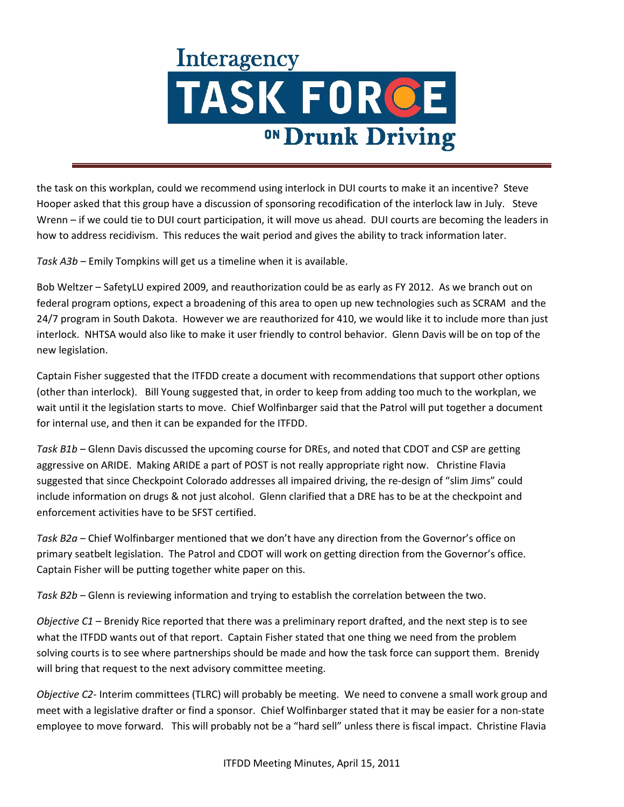the task on this workplan, could we recommend using interlock in DUI courts to make it an incentive? Steve Hooper asked that this group have a discussion of sponsoring recodification of the interlock law in July. Steve Wrenn – if we could tie to DUI court participation, it will move us ahead. DUI courts are becoming the leaders in how to address recidivism. This reduces the wait period and gives the ability to track information later.

*Task A3b* – Emily Tompkins will get us a timeline when it is available.

Bob Weltzer – SafetyLU expired 2009, and reauthorization could be as early as FY 2012. As we branch out on federal program options, expect a broadening of this area to open up new technologies such as SCRAM and the 24/7 program in South Dakota. However we are reauthorized for 410, we would like it to include more than just interlock. NHTSA would also like to make it user friendly to control behavior. Glenn Davis will be on top of the new legislation.

Captain Fisher suggested that the ITFDD create a document with recommendations that support other options (other than interlock). Bill Young suggested that, in order to keep from adding too much to the workplan, we wait until it the legislation starts to move. Chief Wolfinbarger said that the Patrol will put together a document for internal use, and then it can be expanded for the ITFDD.

*Task B1b* – Glenn Davis discussed the upcoming course for DREs, and noted that CDOT and CSP are getting aggressive on ARIDE. Making ARIDE a part of POST is not really appropriate right now. Christine Flavia suggested that since Checkpoint Colorado addresses all impaired driving, the re-design of "slim Jims" could include information on drugs & not just alcohol. Glenn clarified that a DRE has to be at the checkpoint and enforcement activities have to be SFST certified.

*Task B2a* – Chief Wolfinbarger mentioned that we don't have any direction from the Governor's office on primary seatbelt legislation. The Patrol and CDOT will work on getting direction from the Governor's office. Captain Fisher will be putting together white paper on this.

*Task B2b* – Glenn is reviewing information and trying to establish the correlation between the two.

*Objective C1* – Brenidy Rice reported that there was a preliminary report drafted, and the next step is to see what the ITFDD wants out of that report. Captain Fisher stated that one thing we need from the problem solving courts is to see where partnerships should be made and how the task force can support them. Brenidy will bring that request to the next advisory committee meeting.

*Objective C2*- Interim committees (TLRC) will probably be meeting. We need to convene a small work group and meet with a legislative drafter or find a sponsor. Chief Wolfinbarger stated that it may be easier for a non-state employee to move forward. This will probably not be a "hard sell" unless there is fiscal impact. Christine Flavia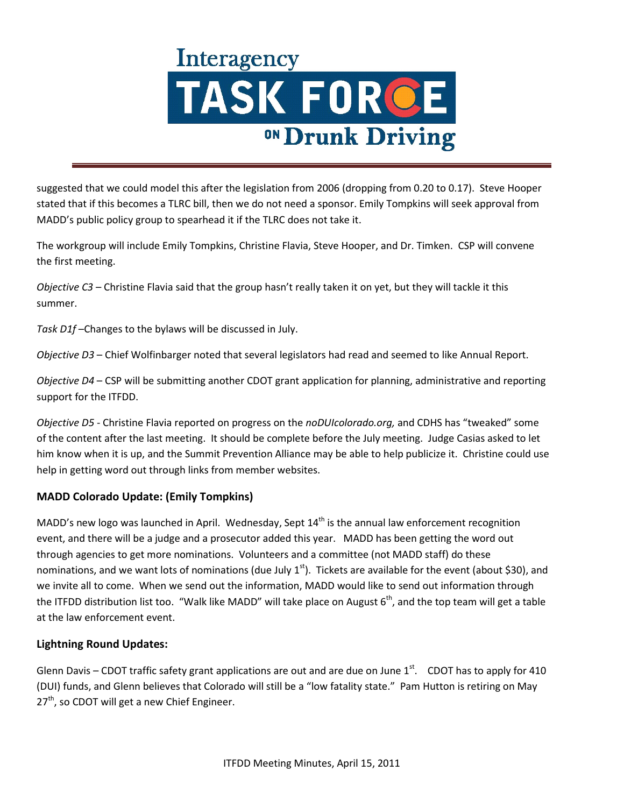suggested that we could model this after the legislation from 2006 (dropping from 0.20 to 0.17). Steve Hooper stated that if this becomes a TLRC bill, then we do not need a sponsor. Emily Tompkins will seek approval from MADD's public policy group to spearhead it if the TLRC does not take it.

The workgroup will include Emily Tompkins, Christine Flavia, Steve Hooper, and Dr. Timken. CSP will convene the first meeting.

*Objective C3* – Christine Flavia said that the group hasn't really taken it on yet, but they will tackle it this summer.

*Task D1f* –Changes to the bylaws will be discussed in July.

*Objective D3* – Chief Wolfinbarger noted that several legislators had read and seemed to like Annual Report.

*Objective D4* – CSP will be submitting another CDOT grant application for planning, administrative and reporting support for the ITFDD.

*Objective D5* - Christine Flavia reported on progress on the *noDUIcolorado.org,* and CDHS has "tweaked" some of the content after the last meeting. It should be complete before the July meeting. Judge Casias asked to let him know when it is up, and the Summit Prevention Alliance may be able to help publicize it. Christine could use help in getting word out through links from member websites.

## **MADD Colorado Update: (Emily Tompkins)**

MADD's new logo was launched in April. Wednesday, Sept  $14<sup>th</sup>$  is the annual law enforcement recognition event, and there will be a judge and a prosecutor added this year. MADD has been getting the word out through agencies to get more nominations. Volunteers and a committee (not MADD staff) do these nominations, and we want lots of nominations (due July  $1^{st}$ ). Tickets are available for the event (about \$30), and we invite all to come. When we send out the information, MADD would like to send out information through the ITFDD distribution list too. "Walk like MADD" will take place on August  $6<sup>th</sup>$ , and the top team will get a table at the law enforcement event.

## **Lightning Round Updates:**

Glenn Davis – CDOT traffic safety grant applications are out and are due on June  $1<sup>st</sup>$ . CDOT has to apply for 410 (DUI) funds, and Glenn believes that Colorado will still be a "low fatality state." Pam Hutton is retiring on May  $27<sup>th</sup>$ , so CDOT will get a new Chief Engineer.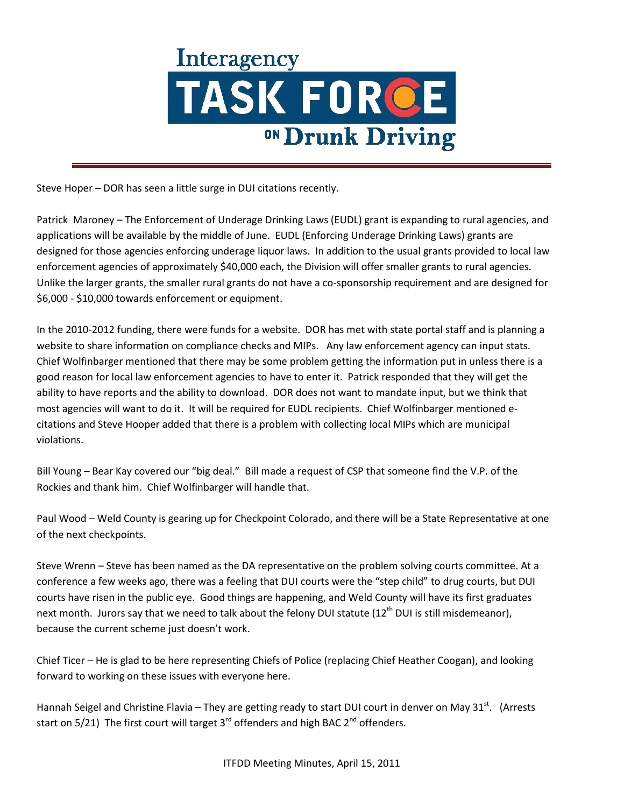Steve Hoper – DOR has seen a little surge in DUI citations recently.

Patrick Maroney – The Enforcement of Underage Drinking Laws (EUDL) grant is expanding to rural agencies, and applications will be available by the middle of June. EUDL (Enforcing Underage Drinking Laws) grants are designed for those agencies enforcing underage liquor laws. In addition to the usual grants provided to local law enforcement agencies of approximately \$40,000 each, the Division will offer smaller grants to rural agencies. Unlike the larger grants, the smaller rural grants do not have a co-sponsorship requirement and are designed for \$6,000 - \$10,000 towards enforcement or equipment.

In the 2010-2012 funding, there were funds for a website. DOR has met with state portal staff and is planning a website to share information on compliance checks and MIPs. Any law enforcement agency can input stats. Chief Wolfinbarger mentioned that there may be some problem getting the information put in unless there is a good reason for local law enforcement agencies to have to enter it. Patrick responded that they will get the ability to have reports and the ability to download. DOR does not want to mandate input, but we think that most agencies will want to do it. It will be required for EUDL recipients. Chief Wolfinbarger mentioned ecitations and Steve Hooper added that there is a problem with collecting local MIPs which are municipal violations.

Bill Young – Bear Kay covered our "big deal." Bill made a request of CSP that someone find the V.P. of the Rockies and thank him. Chief Wolfinbarger will handle that.

Paul Wood – Weld County is gearing up for Checkpoint Colorado, and there will be a State Representative at one of the next checkpoints.

Steve Wrenn – Steve has been named as the DA representative on the problem solving courts committee. At a conference a few weeks ago, there was a feeling that DUI courts were the "step child" to drug courts, but DUI courts have risen in the public eye. Good things are happening, and Weld County will have its first graduates next month. Jurors say that we need to talk about the felony DUI statute (12<sup>th</sup> DUI is still misdemeanor), because the current scheme just doesn't work.

Chief Ticer – He is glad to be here representing Chiefs of Police (replacing Chief Heather Coogan), and looking forward to working on these issues with everyone here.

Hannah Seigel and Christine Flavia – They are getting ready to start DUI court in denver on May 31st. (Arrests start on  $5/21$ ) The first court will target  $3<sup>rd</sup>$  offenders and high BAC  $2<sup>nd</sup>$  offenders.